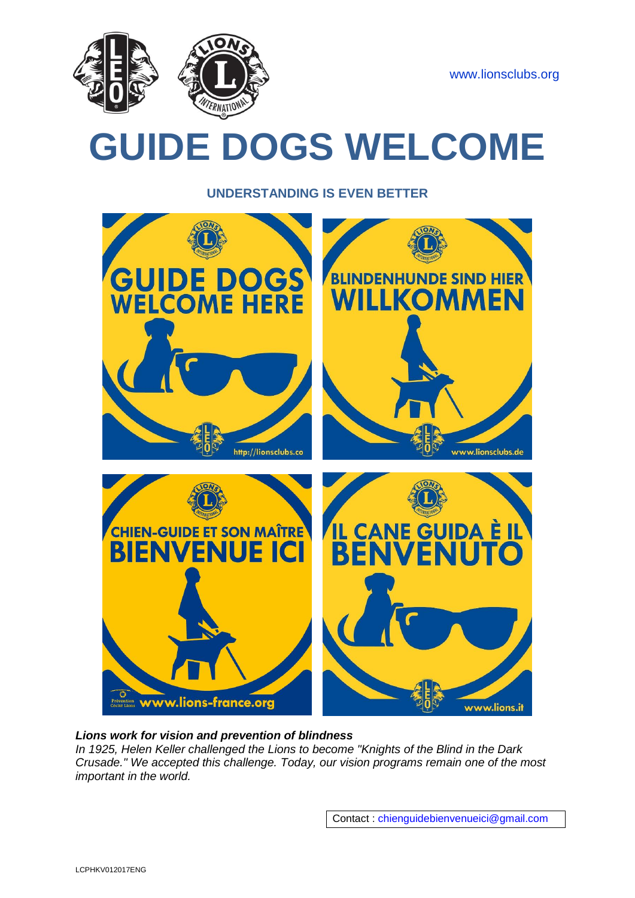

# **GUIDE DOGS WELCOME**

**UNDERSTANDING IS EVEN BETTER**



# *Lions work for vision and prevention of blindness*

*In 1925, Helen Keller challenged the Lions to become "Knights of the Blind in the Dark Crusade." We accepted this challenge. Today, our vision programs remain one of the most important in the world.*

Contact : [chienguidebienvenueici@gmail.com](mailto:chienguidebienvenueici@gmail.com)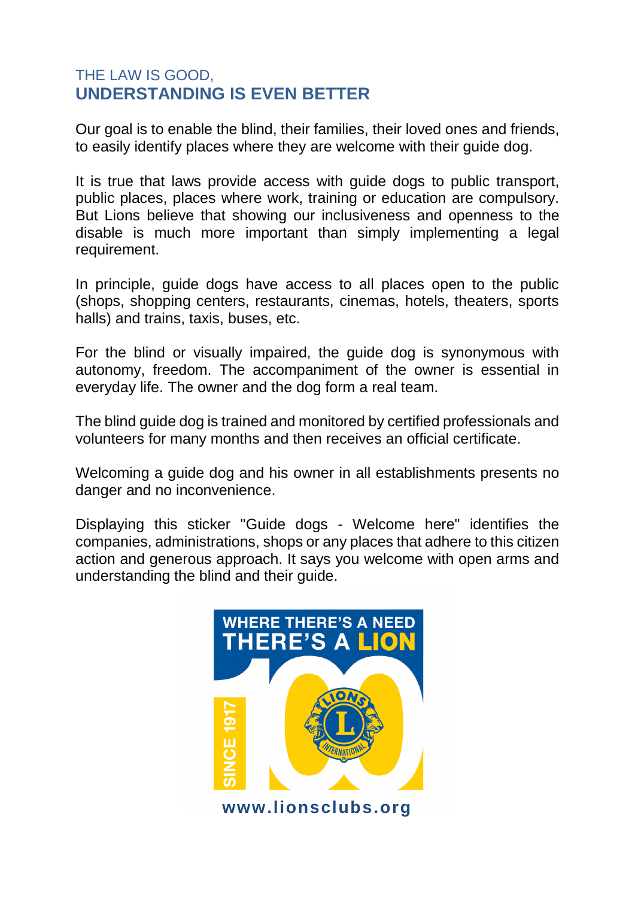# THE LAW IS GOOD, **UNDERSTANDING IS EVEN BETTER**

Our goal is to enable the blind, their families, their loved ones and friends, to easily identify places where they are welcome with their guide dog.

It is true that laws provide access with guide dogs to public transport, public places, places where work, training or education are compulsory. But Lions believe that showing our inclusiveness and openness to the disable is much more important than simply implementing a legal requirement.

In principle, guide dogs have access to all places open to the public (shops, shopping centers, restaurants, cinemas, hotels, theaters, sports halls) and trains, taxis, buses, etc.

For the blind or visually impaired, the guide dog is synonymous with autonomy, freedom. The accompaniment of the owner is essential in everyday life. The owner and the dog form a real team.

The blind guide dog is trained and monitored by certified professionals and volunteers for many months and then receives an official certificate.

Welcoming a guide dog and his owner in all establishments presents no danger and no inconvenience.

Displaying this sticker "Guide dogs - Welcome here" identifies the companies, administrations, shops or any places that adhere to this citizen action and generous approach. It says you welcome with open arms and understanding the blind and their guide.